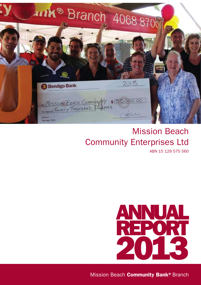

# Mission Beach Community Enterprises Ltd

ABN 15 129 575 560



Mission Beach Community Bank® Branch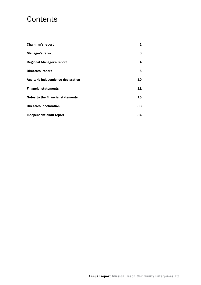# **Contents**

| <b>Chairman's report</b>           | 2  |
|------------------------------------|----|
| Manager's report                   | 3  |
| <b>Regional Manager's report</b>   | 4  |
| Directors' report                  | 5  |
| Auditor's independence declaration | 10 |
| <b>Financial statements</b>        | 11 |
| Notes to the financial statements  | 15 |
| Directors' declaration             | 33 |
| Independent audit report           | 34 |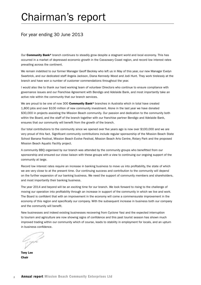# Chairman's report

## For year ending 30 June 2013

Our Community Bank® branch continues to steadily grow despite a stagnant world and local economy. This has occurred in a market of depressed economic growth in the Cassowary Coast region, and record low interest rates prevailing across the continent.

We remain indebted to our former Manager Geoff Beckley who left us in May of this year, our new Manager Evelyn Swarbrick, and our dedicated staff Angela Jackson, Diana Kennedy-Wood and Jodi Hunt. They work tirelessly at the branch and have won a number of customer commendations throughout the year.

I would also like to thank our hard working team of volunteer Directors who continue to ensure compliance with governance issues and our Franchise Agreement with Bendigo and Adelaide Bank, and most importantly take an active role within the community that our branch services.

We are proud to be one of now 300 **Community Bank®** branches in Australia which in total have created 1,800 jobs and over \$100 million of new community investment. Alone in the last year we have donated \$30,000 in projects assisting the Mission Beach community. Our passion and dedication to the community both within the Board, and the staff of the branch together with our franchise partner Bendigo and Adelaide Bank, ensures that our community will benefit from the growth of the branch.

Our total contributions to the community since we opened over five years ago is now over \$100,000 and we are very proud of this fact. Significant community contributions include regular sponsorship of the Mission Beach State School Banana Festival, Mission Beach Evolve Festival, Mission Beach Arts Centre, Rotary Park and the proposed Mission Beach Aquatic Facility project.

A community BBQ organised by our branch was attended by the community groups who benefitted from our sponsorship and ensured our close liaison with these groups with a view to continuing our ongoing support of the community at large.

Record low interest rates require an increase in banking business to move us into profitability, the state of which we are very close to at the present time. Our continuing success and contribution to the community will depend on the further expansion of our banking business. We need the support of community members and shareholders, and most importantly their banking business.

The year 2014 and beyond will be an exciting time for our branch. We look forward to rising to the challenge of moving our operation into profitability through an increase in support of the community in which we live and work. The Board is confident that with an improvement in the economy will come a commensurate improvement in the economy of this region and specifically our company. With the subsequent increase in business both our company and the community will benefit.

New businesses and indeed existing businesses recovering from Cyclone Yasi and the expected interruption to tourism and agriculture are now showing signs of confidence and this past tourist season has shown much improved trading within our community which of course, leads to stability in employment for locals, and an upturn in business confidence.

Tony Lee **Chair**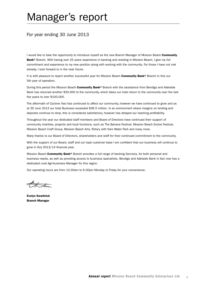# Manager's report

# For year ending 30 June 2013

I would like to take the opportunity to introduce myself as the new Branch Manager of Mission Beach Community Bank<sup>®</sup> Branch. With having over 25 years experience in banking and residing in Mission Beach, I give my full commitment and experience to my new position along with working with the community. For those I have not met already, I look forward to in the near future.

It is with pleasure to report another successful year for Mission Beach Community Bank® Branch in this our 5th year of operation.

During this period the Mission Beach Community Bank® Branch with the assistance from Bendigo and Adelaide Bank has returned another \$30,000 to the community, which takes our total return to the community over the last five years to over \$100,000.

The aftermath of Cyclone Yasi has continued to affect our community, however we have continued to grow and as at 30 June 2013 our total Business exceeded \$36.5 million. In an environment where margins on lending and deposits continue to drop, this is considered satisfactory, however has delayed our reaching profitability.

Throughout the year our dedicated staff members and Board of Directors have continued their support of community charities, projects and local functions, such as The Banana Festival, Mission Beach Evolve Festival, Mission Beach Craft Group, Mission Beach Arts, Rotary with their Water Park and many more.

Many thanks to our Board of Directors, shareholders and staff for their continued commitment to the community.

With the support of our Board, staff and our loyal customer base I am confident that our business will continue to grow in this 2013/14 financial year.

Mission Beach Community Bank® Branch provides a full range of banking Services, for both personal and business needs, as well as providing access to business specialists. Bendigo and Adelaide Bank in fact now has a dedicated rural Agri-business Manager for this region.

Our operating hours are from 10.00am to 6.00pm Monday to Friday for your convenience.

Evelyn Swarbrick Branch Manager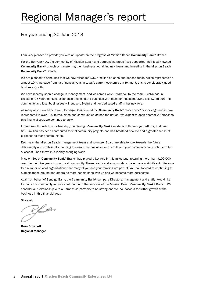# Regional Manager's report

## For year ending 30 June 2013

I am very pleased to provide you with an update on the progress of Mission Beach Community Bank® Branch.

For the 5th year now, the community of Mission Beach and surrounding areas have supported their locally owned Community Bank<sup>®</sup> branch by transferring their business, obtaining new loans and investing in the Mission Beach Community Bank® Branch.

We are pleased to announce that we now exceeded \$36.5 million of loans and deposit funds, which represents an almost 10 % increase from last financial year. In today's current economic environment, this is considerably good business growth.

We have recently seen a change in management, and welcome Evelyn Swarbrick to the team. Evelyn has in excess of 25 years banking experience and joins the business with much enthusiasm. Living locally, I'm sure the community and local businesses will support Evelyn and her dedicated staff in her new role.

As many of you would be aware, Bendigo Bank formed the **Community Bank®** model over 15 years ago and is now represented in over 300 towns, cities and communities across the nation. We expect to open another 20 branches this financial year. We continue to grow.

It has been through this partnership, the Bendigo **Community Bank®** model and through your efforts, that over \$100 million has been contributed to vital community projects and has breathed new life and a greater sense of purposes to many communities.

Each year, the Mission Beach management team and volunteer Board are able to look towards the future, deliberately and strategically planning to ensure the business, our people and your community can continue to be successful and thrive in a rapidly changing world.

Mission Beach **Community Bank®** Branch has played a key role in this milestone, returning more than \$100,000 over the past five years to your local community. These grants and sponsorships have made a significant difference to a number of local organisations that many of you and your families are part of. We look forward to continuing to support these groups and others as more people bank with us and we become more successful.

Again, on behalf of Bendigo Bank, the Community Bank® company Directors, management and staff, I would like to thank the community for your contribution to the success of the Mission Beach Community Bank® Branch. We consider our relationship with our franchise partners to be strong and we look forward to further growth of the business in this financial year.

Sincerely,

Rfewet<sup>h-</sup>

Ross Growcott Regional Manager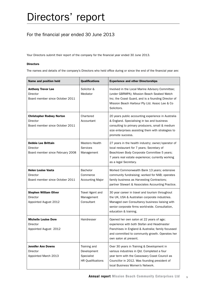# For the financial year ended 30 June 2013

Your Directors submit their report of the company for the financial year ended 30 June 2013.

#### Directors

The names and details of the company's Directors who held office during or since the end of the financial year are:

| Name and position held                                                          | <b>Qualifications</b>                                                 | <b>Experience and other Directorships</b>                                                                                                                                                                                        |
|---------------------------------------------------------------------------------|-----------------------------------------------------------------------|----------------------------------------------------------------------------------------------------------------------------------------------------------------------------------------------------------------------------------|
| <b>Anthony Trevor Lee</b><br>Director<br>Board member since October 2011        | Solicitor &<br>Mediator                                               | Involved in the Local Marine Advisory Committee;<br>(under GBRMPA); Mission Beach Seabed Watch<br>Inc; the Coast Guard, and is a founding Director of<br>Mission Beach Harbour Pty Ltd. Assoc Lee & Co<br>Solicitors.            |
| <b>Christopher Rodney Norton</b><br>Director<br>Board member since October 2011 | Chartered<br>Accountant                                               | 20 years public accounting experience in Australia<br>& England. Specialising in tax and business<br>consulting to primary producers, small & medium<br>size enterprises assisting them with strategies to<br>promote success.   |
| <b>Debbie Lee Brittain</b><br>Director<br>Board member since February 2008      | <b>Masters Health</b><br><b>Services</b><br>Management                | 27 years in the health industry; owner/operator of<br>local restaurant for 7 years; Secretary of<br>Beachtown Body Corporate Committee 5 years;<br>7 years real estate experience; currently working<br>as a legal Secretary.    |
| <b>Helen Louise Vasta</b><br>Director<br>Board member since October 2011        | Bachelor<br>Commerce<br><b>Accounting Major</b>                       | Worked Commonwealth Bank 13 years; extensive<br>community fundraising; worked for NAB; operates<br>family business as Harvesting Contractors;<br>partner Stewart & Associates Accounting Practice.                               |
| <b>Stephen William Oliver</b><br>Director<br>Appointed August 2012              | Travel Agent and<br>Management<br>Consultant                          | 30 year career in travel and tourism throughout<br>the UK, USA & Australian corporate industries.<br>Managed own Consultancy business liaising with<br>senior corporate firms world-wide. Consultation,<br>education & training. |
| <b>Michelle Louise Dore</b><br>Director<br>Appointed August 2012                | Hairdresser                                                           | Opened her own salon at 22 years of age;<br>experience with both Stefan and Headmaster<br>Franchises in England & Australia; family focussed<br>and committed to community growth. Operates her<br>own salon at present.         |
| <b>Jennifer Ann Downs</b><br>Director<br>Appointed March 2013                   | Training and<br>Development<br>Specialist<br><b>HR Qualifications</b> | Over 30 years in Training & Development in<br>various industries in Qld. Completed a four<br>year term with the Cassowary Coast Council as<br>Councillor in 2012. Was founding president of<br>local Business Women's Network.   |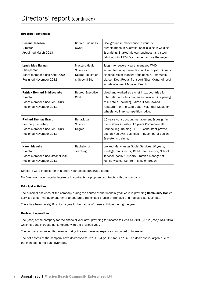#### Directors (continued)

| <b>Cosimo Tedesco</b><br>Director<br>Appointed March 2013                                                        | <b>Retired Business</b><br>Owner                                       | Background in maitenance in various<br>organisations in Australia, specialising in welding<br>& drafting. Started his own business as a steel<br>fabricator in 1974 & expanded across the region                                               |
|------------------------------------------------------------------------------------------------------------------|------------------------------------------------------------------------|------------------------------------------------------------------------------------------------------------------------------------------------------------------------------------------------------------------------------------------------|
| Lynda Mae Hannah<br>Chairperson<br>Board member since April 2009<br>Resigned November 2012                       | <b>Masters Health</b><br>Sciences<br>Degree Education<br>& Special Ed. | Taught for several years; managed WHO<br>accredited injury prevention unit at Royal Childrens<br>Hospital Melb; Manager Business & Community<br>Liaison Dept Roads Transport NSW; Owner of local<br>eco-development Mission Beach.             |
| <b>Patrick Bernard Biddlecombe</b><br><b>Director</b><br>Board member since Feb 2008<br>Resigned November 2012   | <b>Retired Executive</b><br>Chef                                       | Lived and worked as a chef in 11 countries for<br>International Hotel companies; involved in opening<br>of 5 hotels, including Cairns Hilton; owned<br>restaurant on the Gold Coast: volunteer Meals on<br>Wheels; culinary competition judge. |
| <b>Richard Thomas Brant</b><br><b>Company Secretary</b><br>Board member since Feb 2008<br>Resigned November 2012 | Behavioual<br>Science<br>Degree                                        | 10 years construction, management & design in<br>the building industry; 17 years Commonwealth<br>Counselling, Training, HR; HR consultant private<br>sector; has own business in IT, computer design<br>& systems training.                    |
| <b>Karen Maguire</b><br>Director<br>Board member since October 2010<br>Resigned November 2012                    | Bachelor of<br>Teaching                                                | Worked Manchester Social Services 10 years;<br>Kindegarten Director; Child Care Director; School<br>Teacher locally 10 years; Practice Manager of<br>Family Medical Centre in Mission Beach.                                                   |

Directors were in office for this entire year unless otherwise stated.

No Directors have material interests in contracts or proposed contracts with the company.

#### Principal activities

The principal activities of the company during the course of the financial year were in providing Community Bank® services under management rights to operate a franchised branch of Bendigo and Adelaide Bank Limited.

There has been no significant changes in the nature of these activities during the year.

#### Review of operations

The (loss) of the company for the financial year after providing for income tax was 44,589. (2012 (loss): \$41,186), which is a 8% increase as compared with the previous year.

The company improved its revenue during the year however expenses continued to increase.

The net assets of the company have decreased to \$219,624 (2012: \$264,213). The decrease is largely due to the increase in the bank overdraft.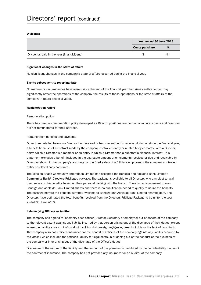#### Dividends

|                                              | Year ended 30 June 2013 |     |
|----------------------------------------------|-------------------------|-----|
|                                              | <b>Cents per share</b>  |     |
| Dividends paid in the year (final dividend): | Nil                     | Nil |

#### Significant changes in the state of affairs

No significant changes in the company's state of affairs occurred during the financial year.

#### Events subsequent to reporting date

No matters or circumstances have arisen since the end of the financial year that significantly affect or may significantly affect the operations of the company, the results of those operations or the state of affairs of the company, in future financial years.

#### Remuneration report

#### Remuneration policy

There has been no remuneration policy developed as Director positions are held on a voluntary basis and Directors are not remunerated for their services.

#### Remuneration benefits and payments

Other than detailed below, no Director has received or become entitled to receive, during or since the financial year, a benefit because of a contract made by the company, controlled entity or related body corporate with a Director, a firm which a Director is a member or an entity in which a Director has a substantial financial interest. This statement excludes a benefit included in the aggregate amount of emoluments received or due and receivable by Directors shown in the company's accounts, or the fixed salary of a full-time employee of the company, controlled entity or related body corporate.

The Mission Beach Community Enterprises Limited has accepted the Bendigo and Adelaide Bank Limited's Community Bank® Directors Privileges package. The package is available to all Directors who can elect to avail themselves of the benefits based on their personal banking with the branch. There is no requirement to own Bendigo and Adelaide Bank Limited shares and there is no qualification period to qualify to utilize the benefits. The package mirrors the benefits currently available to Bendigo and Adelaide Bank Limited shareholders. The Directors have estimated the total benefits received from the Directors Privilege Package to be nil for the year ended 30 June 2013.

#### Indemnifying Officers or Auditor

The company has agreed to indemnify each Officer (Director, Secretary or employee) out of assets of the company to the relevant extent against any liability incurred by that person arising out of the discharge of their duties, except where the liability arises out of conduct involving dishonesty, negligence, breach of duty or the lack of good faith. The company also has Officers Insurance for the benefit of Officers of the company against any liability occurred by the Officer, which includes the Officer's liability for legal costs, in or arising out of the conduct of the business of the company or in or arising out of the discharge of the Officer's duties.

Disclosure of the nature of the liability and the amount of the premium is prohibited by the confidentiality clause of the contract of insurance. The company has not provided any insurance for an Auditor of the company.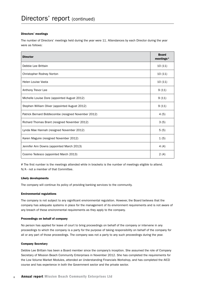#### Directors' meetings

The number of Directors' meetings held during the year were 11. Attendances by each Director during the year were as follows:

| <b>Director</b>                                      | <b>Board</b><br>meetings* |
|------------------------------------------------------|---------------------------|
| Debbie Lee Brittain                                  | 10(11)                    |
| Christopher Rodney Norton                            | 10(11)                    |
| <b>Helen Louise Vasta</b>                            | 10(11)                    |
| Anthony Trevor Lee                                   | 9(11)                     |
| Michelle Louise Dore (appointed August 2012)         | 9(11)                     |
| Stephen William Oliver (appointed August 2012)       | 9(11)                     |
| Patrick Bernard Biddlecombe (resigned November 2012) | 4(5)                      |
| Richard Thomas Brant (resigned November 2012)        | 3(5)                      |
| Lynda Mae Hannah (resigned November 2012)            | 5(5)                      |
| Karen Maguire (resigned November 2012)               | 1(5)                      |
| Jennifer Ann Downs (appointed March 2013)            | 4(4)                      |
| Cosimo Tedesco (appointed March 2013)                | 2(4)                      |

# The first number is the meetings attended while in brackets is the number of meetings eligible to attend. N/A - not a member of that Committee.

#### Likely developments

The company will continue its policy of providing banking services to the community.

#### Environmental regulations

The company is not subject to any significant environmental regulation. However, the Board believes that the company has adequate systems in place for the management of its environment requirements and is not aware of any breach of these environmental requirements as they apply to the company.

#### Proceedings on behalf of company

No person has applied for leave of court to bring proceedings on behalf of the company or intervene in any proceedings to which the company is a party for the purpose of taking responsibility on behalf of the company for all or any part of those proceedings. The company was not a party to any such proceedings during the year.

#### Company Secretary

Debbie Lee Brittain has been a Board member since the company's inception. She assumed the role of Company Secretary of Mission Beach Community Enterprises in November 2012. She has completed the requirements for the Low Volume Market Modules, attended an Understanding Financials Workshop, and has completed the AICD course and has experience in both the Government sector and the private sector.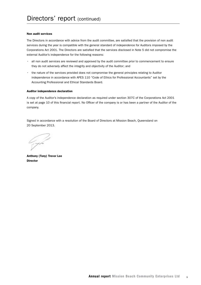#### Non audit services

The Directors in accordance with advice from the audit committee, are satisfied that the provision of non audit services during the year is compatible with the general standard of independence for Auditors imposed by the Corporations Act 2001. The Directors are satisfied that the services disclosed in Note 5 did not compromise the external Auditor's independence for the following reasons:

- • all non audit services are reviewed and approved by the audit committee prior to commencement to ensure they do not adversely affect the integrity and objectivity of the Auditor; and
- • the nature of the services provided does not compromise the general principles relating to Auditor independence in accordance with APES 110 "Code of Ethics for Professional Accountants" set by the Accounting Professional and Ethical Standards Board.

#### Auditor independence declaration

A copy of the Auditor's independence declaration as required under section 307C of the Corporations Act 2001 is set at page 10 of this financial report. No Officer of the company is or has been a partner of the Auditor of the company.

Signed in accordance with a resolution of the Board of Directors at Mission Beach, Queensland on 20 September 2013.

Anthony (Tony) Trevor Lee **Director**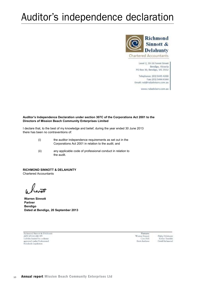# Auditor's independence declaration



Level 2, 10-16 Forest Street Bendigo, Victoria PO Box 30, Bendigo, VIC 3552

Telephone: (03) 5445 4200 Fax: (03) 5444 4344 Email: rsd@rsdadvisors.com.au

www.rsdadvisors.com.au

#### **Auditor's Independence Declaration under section 307C of the Corporations Act 2001 to the Directors of Mission Beach Community Enterprises Limited**

I declare that, to the best of my knowledge and belief, during the year ended 30 June 2013 there has been no contraventions of:

- (i) the auditor independence requirements as set out in the Corporations Act 2001 in relation to the audit; and
- (ii) any applicable code of professional conduct in relation to the audit.

**RICHMOND SINNOTT & DELAHUNTY** Chartered Accountants

**Warren Sinnott Partner Bendigo Dated at Bendigo, 20 September 2013**

Kichtsend Sinnon & Delahauts ABN 60-616-244-300 Liability limited by a scheme approved under Professional Statulards Legislation

Partnero Philip Delabours Warren Sinnert Cass Hall Dont Andrews

Kathie Teaulair David Richmond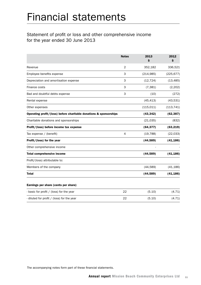# Statement of profit or loss and other comprehensive income for the year ended 30 June 2013

|                                                                    | <b>Notes</b> | 2013<br>\$ | 2012<br>\$ |
|--------------------------------------------------------------------|--------------|------------|------------|
| Revenue                                                            | 2            | 352,182    | 336,521    |
| Employee benefits expense                                          | 3            | (214, 985) | (225, 677) |
| Depreciation and amortisation expense                              | 3            | (12, 724)  | (13, 485)  |
| Finance costs                                                      | 3            | (7, 381)   | (2, 202)   |
| Bad and doubtful debts expense                                     | 3            | (10)       | (272)      |
| Rental expense                                                     |              | (45, 413)  | (43, 531)  |
| Other expenses                                                     |              | (115, 011) | (113, 741) |
| Operating profit/(loss) before charitable donations & sponsorships |              | (43, 342)  | (62, 387)  |
| Charitable donations and sponsorships                              |              | (21, 035)  | (832)      |
| Profit/(loss) before income tax expense                            |              | (64, 377)  | (63, 219)  |
| Tax expense / (benefit)                                            | 4            | (19, 788)  | (22, 033)  |
| Profit/(loss) for the year                                         |              | (44, 589)  | (41, 186)  |
| Other comprehensive income                                         |              |            |            |
| <b>Total comprehensive income</b>                                  |              | (44, 589)  | (41, 186)  |
| Profit/(loss) attributable to:                                     |              |            |            |
| Members of the company                                             |              | (44, 589)  | (41, 186)  |
| <b>Total</b>                                                       |              | (44,589)   | (41, 186)  |
| Earnings per share (cents per share)                               |              |            |            |
| - basic for profit / (loss) for the year                           | 22           | (5.10)     | (4.71)     |
| - diluted for profit / (loss) for the year                         | 22           | (5.10)     | (4.71)     |
|                                                                    |              |            |            |

The accompanying notes form part of these financial statements.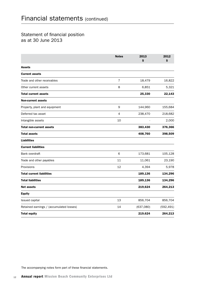# Statement of financial position as at 30 June 2013

|                                          | <b>Notes</b>   | 2013<br>\$ | 2012<br>\$ |
|------------------------------------------|----------------|------------|------------|
| <b>Assets</b>                            |                |            |            |
| <b>Current assets</b>                    |                |            |            |
| Trade and other receivables              | $\overline{7}$ | 18,479     | 16,822     |
| Other current assets                     | 8              | 6,851      | 5,321      |
| <b>Total current assets</b>              |                | 25,330     | 22,143     |
| <b>Non-current assets</b>                |                |            |            |
| Property, plant and equipment            | 9              | 144,960    | 155,684    |
| Deferred tax asset                       | 4              | 238,470    | 218,682    |
| Intangible assets                        | 10             |            | 2,000      |
| <b>Total non-current assets</b>          |                | 383,430    | 376,366    |
| <b>Total assets</b>                      |                | 408,760    | 398,509    |
| <b>Liabilities</b>                       |                |            |            |
| <b>Current liabilities</b>               |                |            |            |
| Bank overdraft                           | 6              | 173,681    | 105,128    |
| Trade and other payables                 | 11             | 11,061     | 23,190     |
| Provisions                               | 12             | 4,394      | 5,978      |
| <b>Total current liabilities</b>         |                | 189,136    | 134,296    |
| <b>Total liabilities</b>                 |                | 189,136    | 134,296    |
| <b>Net assets</b>                        |                | 219,624    | 264,213    |
| <b>Equity</b>                            |                |            |            |
| Issued capital                           | 13             | 856,704    | 856,704    |
| Retained earnings / (accumulated losses) | 14             | (637,080)  | (592, 491) |
| <b>Total equity</b>                      |                | 219,624    | 264,213    |

The accompanying notes form part of these financial statements.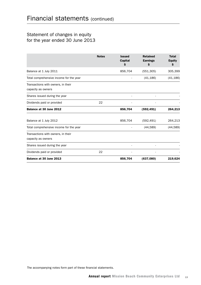# Statement of changes in equity for the year ended 30 June 2013

|                                                          | <b>Notes</b> | <b>Issued</b><br><b>Capital</b><br>\$ | <b>Retained</b><br><b>Earnings</b><br>\$ | <b>Total</b><br><b>Equity</b><br>\$. |
|----------------------------------------------------------|--------------|---------------------------------------|------------------------------------------|--------------------------------------|
| Balance at 1 July 2011                                   |              | 856,704                               | (551, 305)                               | 305,399                              |
| Total comprehensive income for the year                  |              |                                       | (41, 186)                                | (41, 186)                            |
| Transactions with owners, in their<br>capacity as owners |              |                                       |                                          |                                      |
| Shares issued during the year                            |              |                                       |                                          |                                      |
| Dividends paid or provided                               | 22           |                                       |                                          |                                      |
| Balance at 30 June 2012                                  |              | 856,704                               | (592, 491)                               | 264,213                              |
| Balance at 1 July 2012                                   |              | 856,704                               | (592, 491)                               | 264,213                              |
| Total comprehensive income for the year                  |              |                                       | (44, 589)                                | (44, 589)                            |
| Transactions with owners, in their<br>capacity as owners |              |                                       |                                          |                                      |
| Shares issued during the year                            |              |                                       |                                          |                                      |
| Dividends paid or provided                               | 22           |                                       |                                          |                                      |
| Balance at 30 June 2013                                  |              | 856,704                               | (637,080)                                | 219,624                              |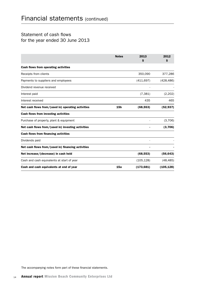## Statement of cash flows for the year ended 30 June 2013

|                                                    | <b>Notes</b>    | 2013<br>\$ | 2012<br>\$ |
|----------------------------------------------------|-----------------|------------|------------|
| <b>Cash flows from operating activities</b>        |                 |            |            |
| Receipts from clients                              |                 | 350,090    | 377,286    |
| Payments to suppliers and employees                |                 | (411, 697) | (428, 486) |
| Dividend revenue received                          |                 |            |            |
| Interest paid                                      |                 | (7, 381)   | (2,202)    |
| Interest received                                  |                 | 435        | 465        |
| Net cash flows from/(used in) operating activities | 15 <sub>b</sub> | (68, 553)  | (52, 937)  |
| Cash flows from investing activities               |                 |            |            |
| Purchase of property, plant & equipment            |                 |            | (3,706)    |
| Net cash flows from/(used in) investing activities |                 |            | (3,706)    |
| <b>Cash flows from financing activities</b>        |                 |            |            |
| Dividends paid                                     |                 |            |            |
| Net cash flows from/(used in) financing activities |                 |            |            |
| Net increase/(decrease) in cash held               |                 | (68, 553)  | (56, 643)  |
| Cash and cash equivalents at start of year         |                 | (105, 128) | (48, 485)  |
| Cash and cash equivalents at end of year           | 15a             | (173, 681) | (105, 128) |

The accompanying notes form part of these financial statements.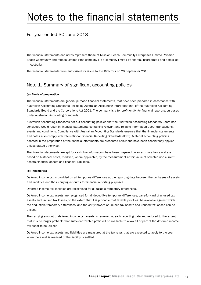# Notes to the financial statements

## For year ended 30 June 2013

The financial statements and notes represent those of Mission Beach Community Enterprises Limited. Mission Beach Community Enterprises Limited ('the company') is a company limited by shares, incorporated and domiciled in Australia.

The financial statements were authorised for issue by the Directors on 20 September 2013.

## Note 1. Summary of significant accounting policies

#### (a) Basis of preparation

The financial statements are general purpose financial statements, that have been prepared in accordance with Australian Accounting Standards (including Australian Accounting Interpretations) of the Australian Accounting Standards Board and the Corporations Act 2001. The company is a for profit entity for financial reporting purposes under Australian Accounting Standards.

Australian Accounting Standards set out accounting policies that the Australian Accounting Standards Board has concluded would result in financial statements containing relevant and reliable information about transactions, events and conditions. Compliance with Australian Accounting Standards ensures that the financial statements and notes also comply with International Financial Reporting Standards (IFRS). Material accounting policies adopted in the preparation of the financial statements are presented below and have been consistently applied unless stated otherwise.

The financial statements, except for cash flow information, have been prepared on an accruals basis and are based on historical costs, modified, where applicable, by the measurement at fair value of selected non current assets, financial assets and financial liabilities.

#### (b) Income tax

Deferred income tax is provided on all temporary differences at the reporting date between the tax bases of assets and liabilities and their carrying amounts for financial reporting purposes.

Deferred income tax liabilities are recognised for all taxable temporary differences.

Deferred income tax assets are recognised for all deductible temporary differences, carry-forward of unused tax assets and unused tax losses, to the extent that it is probable that taxable profit will be available against which the deductible temporary differences, and the carry-forward of unused tax assets and unused tax losses can be utilised.

The carrying amount of deferred income tax assets is reviewed at each reporting date and reduced to the extent that it is no longer probable that sufficient taxable profit will be available to allow all or part of the deferred income tax asset to be utilised.

Deferred income tax assets and liabilities are measured at the tax rates that are expected to apply to the year when the asset is realised or the liability is settled.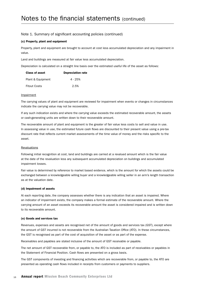#### (c) Property, plant and equipment

Property, plant and equipment are brought to account at cost less accumulated depreciation and any impairment in value.

Land and buildings are measured at fair value less accumulated depreciation.

Depreciation is calculated on a straight line basis over the estimated useful life of the asset as follows:

| <b>Class of asset</b> | <b>Depreciation rate</b> |  |
|-----------------------|--------------------------|--|
| Plant & Equipment     | 4 - 25%                  |  |
| <b>Fitout Costs</b>   | 2.5%                     |  |

#### Impairment

The carrying values of plant and equipment are reviewed for impairment when events or changes in circumstances indicate the carrying value may not be recoverable.

If any such indication exists and where the carrying value exceeds the estimated recoverable amount, the assets or cash-generating units are written down to their recoverable amount.

The recoverable amount of plant and equipment is the greater of fair value less costs to sell and value in use. In assessing value in use, the estimated future cash flows are discounted to their present value using a pre-tax discount rate that reflects current market assessments of the time value of money and the risks specific to the asset.

#### Revaluations

Following initial recognition at cost, land and buildings are carried at a revalued amount which is the fair value at the date of the revaluation less any subsequent accumulated depreciation on buildings and accumulated impairment losses.

Fair value is determined by reference to market based evidence, which is the amount for which the assets could be exchanged between a knowledgeable willing buyer and a knowledgeable willing seller in an arm's length transaction as at the valuation date.

#### (d) Impairment of assets

At each reporting date, the company assesses whether there is any indication that an asset is impaired. Where an indicator of impairment exists, the company makes a formal estimate of the recoverable amount. Where the carrying amount of an asset exceeds its recoverable amount the asset is considered impaired and is written down to its recoverable amount.

#### (e) Goods and services tax

Revenues, expenses and assets are recognised net of the amount of goods and services tax (GST), except where the amount of GST incurred is not recoverable from the Australian Taxation Office (ATO). In these circumstances, the GST is recognised as part of the cost of acquisition of the asset or as part of the expense.

Receivables and payables are stated inclusive of the amount of GST receivable or payable.

The net amount of GST recoverable from, or payable to, the ATO is included as part of receivables or payables in the Statement of Financial Position. Cash flows are presented on a gross basis.

The GST components of investing and financing activities which are recoverable from, or payable to, the ATO are presented as operating cash flows included in receipts from customers or payments to suppliers.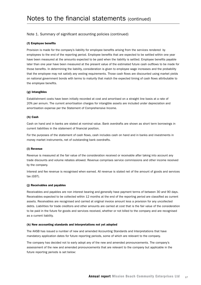#### (f) Employee benefits

Provision is made for the company's liability for employee benefits arising from the services rendered by employees to the end of the reporting period. Employee benefits that are expected to be settled within one year have been measured at the amounts expected to be paid when the liability is settled. Employee benefits payable later than one year have been measured at the present value of the estimated future cash outflows to be made for those benefits. In determining the liability, consideration is given to employee wage increases and the probability that the employee may not satisfy any vesting requirements. Those cash flows are discounted using market yields on national government bonds with terms to maturity that match the expected timing of cash flows attributable to the employee benefits.

#### (g) Intangibles

Establishment costs have been initially recorded at cost and amortised on a straight line basis at a rate of 20% per annum. The current amortisation charges for intangible assets are included under depreciation and amortisation expense per the Statement of Comprehensive Income.

#### (h) Cash

Cash on hand and in banks are stated at nominal value. Bank overdrafts are shown as short term borrowings in current liabilities in the statement of financial position.

For the purposes of the statement of cash flows, cash includes cash on hand and in banks and investments in money market instruments, net of outstanding bank overdrafts.

#### (i) Revenue

Revenue is measured at the fair value of the consideration received or receivable after taking into account any trade discounts and volume rebates allowed. Revenue comprises service commissions and other income received by the company.

Interest and fee revenue is recognised when earned. All revenue is stated net of the amount of goods and services tax (GST).

#### (j) Receivables and payables

Receivables and payables are non interest bearing and generally have payment terms of between 30 and 90 days. Receivables expected to be collected within 12 months at the end of the reporting period are classified as current assets. Receivables are recognised and carried at original invoice amount less a provision for any uncollected debts. Liabilities for trade creditors and other amounts are carried at cost that is the fair value of the consideration to be paid in the future for goods and services received, whether or not billed to the company and are recognised as a current liability.

#### (k) New accounting standards and interpretations not yet adopted

The AASB has issued a number of new and amended Accounting Standards and Interpretations that have mandatory application dates for future reporting periods, some of which are relevant to the company.

The company has decided not to early adopt any of the new and amended pronouncements. The company's assessment of the new and amended pronouncements that are relevant to the company but applicable in the future reporting periods is set below: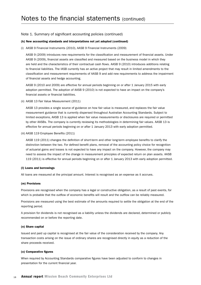#### (k) New accounting standards and interpretations not yet adopted (continued)

(i) AASB 9 Financial Instruments (2010), AASB 9 Financial Instruments (2009)

AASB 9 (2009) introduces new requirements for the classification and measurement of financial assets. Under AASB 9 (2009), financial assets are classified and measured based on the business model in which they are held and the characteristics of their contractual cash flows. AASB 9 (2010) introduces additions relating to financial liabilities. The IASB currently has an active project that may result in limited amendments to the classification and measurement requirements of AASB 9 and add new requirements to address the impairment of financial assets and hedge accounting.

 AASB 9 (2010 and 2009) are effective for annual periods beginning on or after 1 January 2015 with early adoption permitted. The adoption of AASB 9 (2010) is not expected to have an impact on the company's financial assets or financial liabilities.

(ii) AASB 13 Fair Value Measurement (2011)

AASB 13 provides a single source of guidance on how fair value is measured, and replaces the fair value measurement guidance that is currently dispersed throughout Australian Accounting Standards. Subject to limited exceptions, AASB 13 is applied when fair value measurements or disclosures are required or permitted by other AASBs. The company is currently reviewing its methodologies in determining fair values. AASB 13 is effective for annual periods beginning on or after 1 January 2013 with early adoption permitted.

(iii) AASB 119 Employee Benefits (2011)

AASB 119 (2011) changes the definition of short-term and other long-term employee benefits to clarify the distinction between the two. For defined benefit plans, removal of the accounting policy choice for recognition of actuarial gains and losses is not expected to have any impact on the company. However, the company may need to assess the impact of the change in measurement principles of expected return on plan assets. AASB 119 (2011) is effective for annual periods beginning on or after 1 January 2013 with early adoption permitted.

#### (l) Loans and borrowings

All loans are measured at the principal amount. Interest is recognised as an expense as it accrues.

#### (m) Provisions

Provisions are recognised when the company has a legal or constructive obligation, as a result of past events, for which is probable that the outflow of economic benefits will result and the outflow can be reliably measured.

Provisions are measured using the best estimate of the amounts required to settle the obligation at the end of the reporting period.

A provision for dividends is not recognised as a liability unless the dividends are declared, determined or publicly recommended on or before the reporting date.

#### (n) Share capital

Issued and paid up capital is recognised at the fair value of the consideration received by the company. Any transaction costs arising on the issue of ordinary shares are recognised directly in equity as a reduction of the share proceeds received.

#### (o) Comparative figures

When required by Accounting Standards comparative figures have been adjusted to conform to changes in presentation for the current financial year.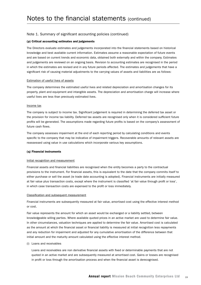#### (p) Critical accounting estimates and judgements

The Directors evaluate estimates and judgements incorporated into the financial statements based on historical knowledge and best available current information. Estimates assume a reasonable expectation of future events and are based on current trends and economic data, obtained both externally and within the company. Estimates and judgements are reviewed on an ongoing basis. Revision to accounting estimates are recognised in the period in which the estimates are revised and in any future periods affected. The estimates and judgements that have a significant risk of causing material adjustments to the carrying values of assets and liabilities are as follows:

#### Estimation of useful lives of assets

The company determines the estimated useful lives and related depreciation and amortisation changes for its property, plant and equipment and intangible assets. The depreciation and amortisation charge will increase where useful lives are less than previously estimated lives.

#### Income tax

The company is subject to income tax. Significant judgement is required in determining the deferred tax asset or the provision for income tax liability. Deferred tax assets are recognised only when it is considered sufficient future profits will be generated. The assumptions made regarding future profits is based on the company's assessment of future cash flows.

The company assesses impairment at the end of each reporting period by calculating conditions and events specific to the company that may be indicative of impairment triggers. Recoverable amounts of relevant assets are reassessed using value in use calculations which incorporate various key assumptions.

#### (q) Financial instruments

#### Initial recognition and measurement

Financial assets and financial liabilities are recognised when the entity becomes a party to the contractual provisions to the instrument. For financial assets, this is equivalent to the date that the company commits itself to either purchase or sell the asset (ie trade date accounting is adopted). Financial instruments are initially measured at fair value plus transaction costs, except where the instrument is classified 'at fair value through profit or loss', in which case transaction costs are expensed to the profit or loss immediately.

#### Classification and subsequent measurement

Financial instruments are subsequently measured at fair value, amortised cost using the effective interest method or cost.

Fair value represents the amount for which an asset would be exchanged or a liability settled, between knowledgeable willing parties. Where available quoted prices in an active market are used to determine fair value. In other circumstances, valuation techniques are applied to determine the fair value. Amortised cost is calculated as the amount at which the financial asset or financial liability is measured at initial recognition less repayments and any reduction for impairment and adjusted for any cumulative amortisation of the difference between that initial amount and the maturity amount calculated using the effective interest method.

(i) Loans and receivables

Loans and receivables are non derivative financial assets with fixed or determinable payments that are not quoted in an active market and are subsequently measured at amortised cost. Gains or losses are recognised in profit or loss through the amortisation process and when the financial asset is derecognised.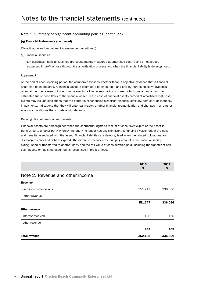#### (q) Financial instruments (continued)

#### Classification and subsequent measurement (continued)

(ii) Financial liabilities

Non derivative financial liabilities are subsequently measured at amortised cost. Gains or losses are recognised in profit or loss through the amortisation process and when the financial liability is derecognised.

#### **Impairment**

At the end of each reporting period, the company assesses whether there is objective evidence that a financial asset has been impaired. A financial asset is deemed to be impaired if and only if, there is objective evidence of impairment as a result of one or more events (a loss event) having occurred, which has an impact on the estimated future cash flows of the financial asset. In the case of financial assets carried at amortised cost, loss events may include indications that the debtor is experiencing significant financial difficulty, default or delinquency in payments, indications that they will enter bankruptcy or other financial reorganisation and changes in arrears or economic conditions that correlate with defaults.

#### Derecognition of financial instruments

Financial assets are derecognised when the contractual rights to receipt of cash flows expire or the asset is transferred to another party whereby the entity no longer has any significant continuing involvement in the risks and benefits associated with the asset. Financial liabilities are derecognised when the related obligations are discharged, cancelled or have expired. The difference between the carrying amount of the financial liability extinguished or transferred to another party and the fair value of consideration paid, including the transfer of noncash assets or liabilities assumed, is recognised in profit or loss.

|                                  | 2013<br>\$ | 2012<br>Ş |
|----------------------------------|------------|-----------|
| Note 2. Revenue and other income |            |           |
| <b>Revenue</b>                   |            |           |
| - services commissions           | 351,747    | 336,056   |
| - other revenue                  |            |           |
|                                  | 351,747    | 336,056   |
| <b>Other revenue</b>             |            |           |

| <b>Total revenue</b> | 352,182 | 336,521                  |
|----------------------|---------|--------------------------|
|                      | 435     | 465                      |
| - other revenue      | -       | $\overline{\phantom{0}}$ |
| - interest received  | 435     | 465                      |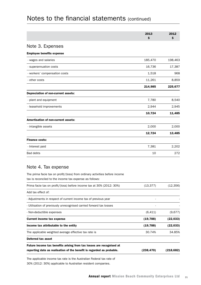|                                                                                                                                        | 2013    | 2012    |
|----------------------------------------------------------------------------------------------------------------------------------------|---------|---------|
|                                                                                                                                        | S       | \$      |
| Note 3. Expenses                                                                                                                       |         |         |
| <b>Employee benefits expense</b>                                                                                                       |         |         |
| - wages and salaries                                                                                                                   | 185,470 | 198,463 |
| - superannuation costs                                                                                                                 | 16,736  | 17,387  |
| - workers' compensation costs                                                                                                          | 1,518   | 968     |
| - other costs                                                                                                                          | 11,261  | 8,859   |
|                                                                                                                                        | 214,985 | 225,677 |
| Depreciation of non-current assets:                                                                                                    |         |         |
| - plant and equipment                                                                                                                  | 7,780   | 8,540   |
| - leasehold improvements                                                                                                               | 2,944   | 2,945   |
|                                                                                                                                        | 10,724  | 11,485  |
| Amortisation of non-current assets:                                                                                                    |         |         |
| - intangible assets                                                                                                                    | 2,000   | 2,000   |
|                                                                                                                                        | 12,724  | 13,485  |
| <b>Finance costs:</b>                                                                                                                  |         |         |
| - Interest paid                                                                                                                        | 7,381   | 2,202   |
| <b>Bad debts</b>                                                                                                                       | 10      | 272     |
| Note 4. Tax expense                                                                                                                    |         |         |
| The prima facie tax on profit/(loss) from ordinary activities before income<br>tax is reconciled to the income tax expense as follows: |         |         |

| reporting date as realisation of the benefit is regarded as probable. | (238,470) | (218,682) |
|-----------------------------------------------------------------------|-----------|-----------|
| Future income tax benefits arising from tax losses are recognised at  |           |           |
| Deferred tax asset                                                    |           |           |
| The applicable weighted average effective tax rate is                 | 30.74%    | 34.85%    |
| Income tax attributable to the entity                                 | (19, 788) | (22, 033) |
| <b>Current income tax expense</b>                                     | (19, 788) | (22,033)  |
| - Non-deductible expenses                                             | (6, 411)  | (9,677)   |
| - Utilisation of previously unrecognised carried forward tax losses   |           |           |
| - Adjustments in respect of current income tax of previous year       |           |           |
| Add tax effect of:                                                    |           |           |
| Prima facie tax on profit/(loss) before income tax at 30% (2012: 30%) | (13, 377) | (12, 356) |

The applicable income tax rate is the Australian Federal tax rate of

30% (2012: 30%) applicable to Australian resident companies.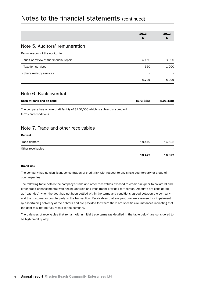|                                                                                                          | 2013<br>\$ | 2012<br>Ş  |
|----------------------------------------------------------------------------------------------------------|------------|------------|
| Note 5. Auditors' remuneration                                                                           |            |            |
| Remuneration of the Auditor for:                                                                         |            |            |
| - Audit or review of the financial report                                                                | 4,150      | 3,900      |
| - Taxation services                                                                                      | 550        | 1,000      |
| - Share registry services                                                                                |            |            |
|                                                                                                          | 4,700      | 4,900      |
| Note 6. Bank overdraft                                                                                   |            |            |
| Cash at bank and on hand                                                                                 | (173, 681) | (105, 128) |
| The company has an overdraft facility of \$250,000 which is subject to standard<br>terms and conditions. |            |            |

### Note 7. Trade and other receivables

|                   | 18,479 | 16,822                   |
|-------------------|--------|--------------------------|
| Other receivables | -      | $\overline{\phantom{0}}$ |
| Trade debtors     | 18,479 | 16,822                   |
| <b>Current</b>    |        |                          |

#### Credit risk

The company has no significant concentration of credit risk with respect to any single counterparty or group of counterparties.

The following table details the company's trade and other receivables exposed to credit risk (prior to collateral and other credit enhancements) with ageing analysis and impairment provided for thereon. Amounts are considered as "past due" when the debt has not been settled within the terms and conditions agreed between the company and the customer or counterparty to the transaction. Receivables that are past due are assessed for impairment by ascertaining solvency of the debtors and are provided for where there are specific circumstances indicating that the debt may not be fully repaid to the company.

The balances of receivables that remain within initial trade terms (as detailed in the table below) are considered to be high credit quality.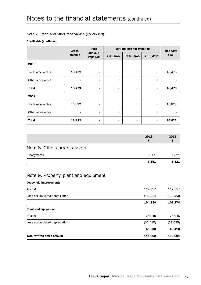### Note 7. Trade and other receivables (continued)

#### Credit risk (continued)

|                   | <b>Gross</b> | Past                     |                          |                          | Past due but not impaired |                 |
|-------------------|--------------|--------------------------|--------------------------|--------------------------|---------------------------|-----------------|
|                   | amount       | due and<br>impaired      | $<$ 30 days              | 31-60 days               | $> 60$ days               | Not past<br>due |
| 2013              |              |                          |                          |                          |                           |                 |
| Trade receivables | 18,479       | $\overline{\phantom{a}}$ | $\overline{\phantom{a}}$ | ٠                        |                           | 18,479          |
| Other receivables | ٠            | $\overline{\phantom{a}}$ | $\overline{\phantom{a}}$ | ۰                        | $\overline{\phantom{a}}$  |                 |
| <b>Total</b>      | 18,479       | $\blacksquare$           |                          | ٠                        | $\blacksquare$            | 18,479          |
| 2012              |              |                          |                          |                          |                           |                 |
| Trade receivables | 16,822       | $\overline{\phantom{a}}$ | $\overline{\phantom{a}}$ | $\overline{\phantom{a}}$ | $\overline{\phantom{a}}$  | 16,822          |
| Other receivables | $\sim$       | $\overline{\phantom{a}}$ | $\overline{\phantom{a}}$ | ٠                        | $\overline{\phantom{a}}$  |                 |
| <b>Total</b>      | 16,822       | ۰                        | ۰                        | $\blacksquare$           | $\blacksquare$            | 16,822          |

|                              | 6,851     |           |
|------------------------------|-----------|-----------|
|                              |           | 5,321     |
| Prepayments                  | 6,851     | 5,321     |
| Note 8. Other current assets |           |           |
|                              | 2013<br>S | 2012<br>s |

## Note 9. Property, plant and equipment

#### Leasehold improvements

| 144,960   | 155,684   |
|-----------|-----------|
| 40,630    | 48,410    |
| (37, 415) | (29, 635) |
| 78,045    | 78,045    |
|           |           |
| 104,330   | 107,274   |
| (13, 427) | (10, 483) |
| 117,757   | 117,757   |
|           |           |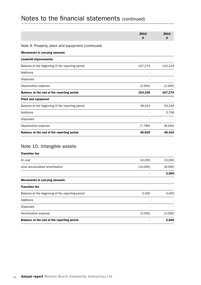|                                                   | 2013<br>\$ | 2012<br>\$ |
|---------------------------------------------------|------------|------------|
| Note 9. Property, plant and equipment (continued) |            |            |
| <b>Movements in carrying amounts</b>              |            |            |
| <b>Leashold improvements</b>                      |            |            |
| Balance at the beginning of the reporting period  | 107,274    | 110,219    |
| Additions                                         |            |            |
| Disposals                                         |            |            |
| Depreciation expense                              | (2,944)    | (2,945)    |
| Balance at the end of the reporting period        | 104,330    | 107,274    |
| <b>Plant and equipment</b>                        |            |            |
| Balance at the beginning of the reporting period  | 48,410     | 53,244     |
| <b>Additions</b>                                  |            | 3,706      |
| Disposals                                         |            |            |
| Depreciation expense                              | (7,780)    | (8,540)    |
| Balance at the end of the reporting period        | 40,630     | 48,410     |

# Note 10. Intangible assets

| At cost                                          | 10,000   | 10,000  |
|--------------------------------------------------|----------|---------|
| Less accumulated amortisation                    | (10,000) | (8,000) |
|                                                  |          | 2,000   |
| <b>Movements in carrying amounts</b>             |          |         |
| <b>Franchise fee</b>                             |          |         |
| Balance at the beginning of the reporting period | 2,000    | 4.000   |
| Additions                                        | ۰        |         |
| <b>Disposals</b>                                 | ٠        |         |
| Amortisation expense                             | (2,000)  | (2,000) |
| Balance at the end of the reporting period       |          | 2,000   |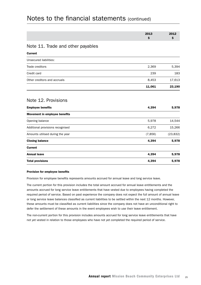|                                                 | 2013<br>\$ | 2012<br>\$ |
|-------------------------------------------------|------------|------------|
| Note 11. Trade and other payables               |            |            |
| <b>Current</b>                                  |            |            |
| Unsecured liabilities:                          |            |            |
| Trade creditors                                 | 2,369      | 5,394      |
| Credit card                                     | 239        | 183        |
| Other creditors and accruals                    | 8,453      | 17,613     |
|                                                 | 11,061     | 23,190     |
| Note 12. Provisions<br><b>Employee benefits</b> | 4,394      | 5,978      |
| Movement in employee benefits                   |            |            |
| Opening balance                                 | 5,978      | 14,544     |
| Additional provisions recognised                | 6,272      | 15,266     |
| Amounts utilised during the year                | (7, 856)   | (23, 832)  |
| <b>Closing balance</b>                          | 4,394      | 5,978      |
| <b>Current</b>                                  |            |            |
| <b>Annual leave</b>                             | 4,394      | 5,978      |
| <b>Total provisions</b>                         | 4,394      | 5,978      |

#### Provision for employee benefits

Provision for employee benefits represents amounts accrued for annual leave and long service leave.

The current portion for this provision includes the total amount accrued for annual leave entitlements and the amounts accrued for long service leave entitlements that have vested due to employees having completed the required period of service. Based on past experience the company does not expect the full amount of annual leave or long service leave balances classified as current liabilities to be settled within the next 12 months. However, these amounts must be classified as current liabilities since the company does not have an unconditional right to defer the settlement of these amounts in the event employees wish to use their leave entitlement.

The non-current portion for this provision includes amounts accrued for long service leave entitlements that have not yet vested in relation to those employees who have not yet completed the required period of service.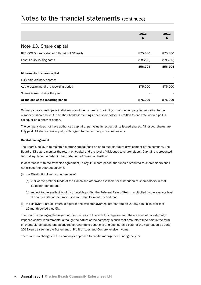|                                                | 2013<br>\$ | 2012<br>Ş |
|------------------------------------------------|------------|-----------|
| Note 13. Share capital                         |            |           |
| 875,000 Ordinary shares fully paid of \$1 each | 875,000    | 875,000   |
| Less: Equity raising costs                     | (18, 296)  | (18, 296) |
|                                                | 856,704    | 856,704   |
| Movements in share capital                     |            |           |
| Fully paid ordinary shares:                    |            |           |
| At the beginning of the reporting period       | 875,000    | 875,000   |
| Shares issued during the year                  |            |           |
| At the end of the reporting period             | 875,000    | 875,000   |

Ordinary shares participate in dividends and the proceeds on winding up of the company in proportion to the number of shares held. At the shareholders' meetings each shareholder is entitled to one vote when a poll is called, or on a show of hands.

The company does not have authorised capital or par value in respect of its issued shares. All issued shares are fully paid. All shares rank equally with regard to the company's residual assets.

#### Capital management

The Board's policy is to maintain a strong capital base so as to sustain future development of the company. The Board of Directors monitor the return on capital and the level of dividends to shareholders. Capital is represented by total equity as recorded in the Statement of Financial Position.

In accordance with the franchise agreement, in any 12 month period, the funds distributed to shareholders shall not exceed the Distribution Limit.

- (i) the Distribution Limit is the greater of:
	- (a) 20% of the profit or funds of the Franchisee otherwise available for distribution to shareholders in that 12 month period; and
	- (b) subject to the availability of distributable profits, the Relevant Rate of Return multiplied by the average level of share capital of the Franchisee over that 12 month period; and
- (ii) the Relevant Rate of Return is equal to the weighted average interest rate on 90 day bank bills over that 12 month period plus 5%.

The Board is managing the growth of the business in line with this requirement. There are no other externally imposed capital requirements, although the nature of the company is such that amounts will be paid in the form of charitable donations and sponsorship. Charitable donations and sponsorship paid for the year ended 30 June 2013 can be seen in the Statement of Profit or Loss and Comprehensive Income.

There were no changes in the company's approach to capital management during the year.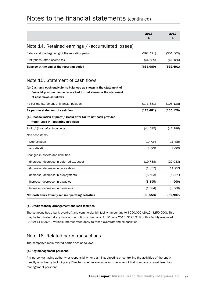|                                                                                                                                                                        | 2013<br>Ś  | 2012<br>Ś  |
|------------------------------------------------------------------------------------------------------------------------------------------------------------------------|------------|------------|
| Note 14. Retained earnings / (accumulated losses)                                                                                                                      |            |            |
| Balance at the beginning of the reporting period                                                                                                                       | (592, 491) | (551, 305) |
| Profit/(loss) after income tax                                                                                                                                         | (44, 589)  | (41, 186)  |
| Balance at the end of the reporting period                                                                                                                             | (637,080)  | (592, 491) |
| Note 15. Statement of cash flows                                                                                                                                       |            |            |
| (a) Cash and cash equivalents balances as shown in the statement of<br>financial position can be reconciled to that shown in the statement<br>of cash flows as follows |            |            |
| As per the statement of financial position                                                                                                                             | (173, 681) | (105, 128) |
| As per the statement of cash flow                                                                                                                                      | (173, 681) | (105, 128) |
| (b) Reconciliation of profit $/$ (loss) after tax to net cash provided<br>from/(used in) operating activities                                                          |            |            |
| Profit / (loss) after income tax                                                                                                                                       | (44,589)   | (41, 186)  |
| Non cash items                                                                                                                                                         |            |            |
| - Depreciation                                                                                                                                                         | 10,724     | 11,485     |
| - Amortisation                                                                                                                                                         | 2,000      | 2,000      |
| Changes in assets and liabilities                                                                                                                                      |            |            |
| - (Increase) decrease in deferred tax asset                                                                                                                            | (19, 788)  | (22, 033)  |
| - (Increase) decrease in receivables                                                                                                                                   | (1,657)    | 11,253     |
| - (Increase) decrease in prepayments                                                                                                                                   | (5,503)    | (5,321)    |
| - Increase (decrease) in payables                                                                                                                                      | (8, 155)   | (569)      |
| - Increase (decrease) in provisions                                                                                                                                    | (1,584)    | (8,566)    |
| Net cash flows from/(used in) operating activities                                                                                                                     | (68, 553)  | (52, 937)  |

#### (c) Credit standby arrangement and loan facilities

The company has a bank overdraft and commercial bill facility amounting to \$250,000 (2012: \$250,000). This may be terminated at any time at the option of the bank. At 30 June 2013, \$175,318 of this facility was used (2012: \$112,826). Variable interest rates apply to these overdraft and bill facilities.

### Note 16. Related party transactions

The company's main related parties are as follows:

#### (a) Key management personnel

Any person(s) having authority or responsibility for planning, directing or controlling the activities of the entity, directly or indirectly including any Director (whether executive or otherwise) of that company is considered key management personnel.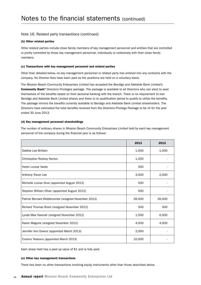#### Note 16. Related party transactions (continued)

#### (b) Other related parties

Other related parties include close family members of key management personnel and entities that are controlled or jointly controlled by those key management personnel, individually or collectively with their close family members.

#### (c) Transactions with key management personnel and related parties

Other than detailed below, no key management personnel or related party has entered into any contracts with the company. No Director fees have been paid as the positions are held on a voluntary basis.

The Mission Beach Community Enterprises Limited has accepted the Bendigo and Adelaide Bank Limited's Community Bank® Directors Privileges package. The package is available to all Directors who can elect to avail themselves of the benefits based on their personal banking with the branch. There is no requirement to own Bendigo and Adelaide Bank Limited shares and there is no qualification period to qualify to utilize the benefits. The package mirrors the benefits currently available to Bendigo and Adelaide Bank Limited shareholders. The Directors have estimated the total benefits received from the Directors Privilege Package to be nil for the year ended 30 June 2013.

#### (d) Key management personnel shareholdings

The number of ordinary shares in Mission Beach Community Enterprises Limited held by each key management personnel of the company during the financial year is as follows:

|                                                      | 2013   | 2012   |
|------------------------------------------------------|--------|--------|
| Debbie Lee Brittain                                  | 1,000  | 1,000  |
| <b>Christopher Rodney Norton</b>                     | 1,000  |        |
| Helen Louise Vasta                                   | 500    |        |
| Anthony Trevor Lee                                   | 3,000  | 2,000  |
| Michelle Louise Dore (appointed August 2012)         | 500    |        |
| Stephen William Oliver (appointed August 2012)       | 500    |        |
| Patrick Bernard Biddlecombe (resigned November 2012) | 26,000 | 26,000 |
| Richard Thomas Brant (resigned November 2012)        | 500    | 500    |
| Lynda Mae Hannah (resigned November 2012)            | 1,500  | 6,000  |
| Karen Maguire (resigned November 2012)               | 4,000  | 4,000  |
| Jennifer Ann Downs (appointed March 2013)            | 2,000  |        |
| Cosimo Tedesco (appointed March 2013)                | 10,000 |        |

Each share held has a paid up value of \$1 and is fully paid.

#### (e) Other key management transactions

There has been no other transactions involving equity instruments other than those described above.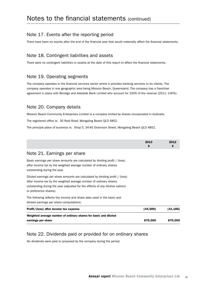## Note 17. Events after the reporting period

There have been no events after the end of the financial year that would materially affect the financial statements.

### Note 18. Contingent liabilities and assets

There were no contingent liabilities or assets at the date of this report to affect the financial statements.

## Note 19. Operating segments

The company operates in the financial services sector where it provides banking services to its clients. The company operates in one geographic area being Mission Beach, Queensland. The company has a franchise agreement in place with Bendigo and Adelaide Bank Limited who account for 100% of the revenue (2011: 100%).

### Note 20. Company details

Mission Beach Community Enterprises Limited is a company limited by shares incorporated in Australia.

The registered office is: 35 Reid Road, Wongaling Beach QLD 4852.

The principal place of business is: Shop 5, 34-40 Dickinson Street, Wongaling Beach QLD 4852.

|                                                                                                                                                                                                                                                                | 2013<br>\$ | 2012<br>\$ |
|----------------------------------------------------------------------------------------------------------------------------------------------------------------------------------------------------------------------------------------------------------------|------------|------------|
| Note 21. Earnings per share                                                                                                                                                                                                                                    |            |            |
| Basic earnings per share amounts are calculated by dividing profit / (loss)<br>after income tax by the weighted average number of ordinary shares<br>outstanding during the year.                                                                              |            |            |
| Diluted earnings per share amounts are calculated by dividing profit / (loss)<br>after income tax by the weighted average number of ordinary shares<br>outstanding during the year (adjusted for the effects of any dilutive options<br>or preference shares). |            |            |
| The following reflects the income and share data used in the basic and<br>diluted earnings per share computations:                                                                                                                                             |            |            |
| Profit/(loss) after income tax expense                                                                                                                                                                                                                         | (44,589)   | (41, 186)  |
| Weighted average number of ordinary shares for basic and diluted                                                                                                                                                                                               |            |            |
| earnings per share                                                                                                                                                                                                                                             | 875,000    | 875,000    |

### Note 22. Dividends paid or provided for on ordinary shares

No dividends were paid or proposed by the company during the period.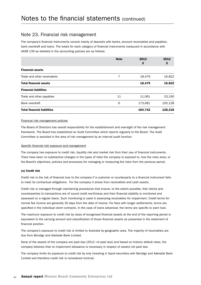### Note 23. Financial risk management

The company's financial instruments consist mainly of deposits with banks, account receivables and payables, bank overdraft and loans. The totals for each category of financial instruments measured in accordance with AASB 139 as detailed in the accounting policies are as follows:

|                                    | <b>Note</b> | 2013<br>\$ | 2012<br>\$ |
|------------------------------------|-------------|------------|------------|
| <b>Financial assets</b>            |             |            |            |
| Trade and other receivables        | 7           | 18,479     | 16,822     |
| <b>Total financial assets</b>      |             | 18,479     | 16,822     |
| <b>Financial liabilities</b>       |             |            |            |
| Trade and other payables           | 11          | 11,061     | 23,190     |
| Bank overdraft                     | 6           | 173,681    | 105,128    |
| <b>Total financial liabilities</b> |             | 184,742    | 128,318    |

#### Financial risk management policies

The Board of Directors has overall responsibility for the establishment and oversight of the risk management framework. The Board has established an Audit Committee which reports regularly to the Board. The Audit Committee is assisted in the area of risk management by an internal audit function.

#### Specific financial risk exposure and management

The company has exposure to credit risk, liquidity risk and market risk from their use of financial instruments. There have been no substantive changes in the types of risks the company is exposed to, how the risks arise, or the Board's objectives, policies and processes for managing or measuring the risks from the previous period.

#### (a) Credit risk

Credit risk is the risk of financial loss to the company if a customer or counterparty to a financial instrument fails to meet its contractual obligations. For the company it arises from receivables and cash assets.

Credit risk is managed through maintaining procedures that ensure, to the extent possible, that clients and counterparties to transactions are of sound credit worthiness and their financial stability is monitored and assessed on a regular basis. Such monitoring is used in assessing receivables for impairment. Credit terms for normal fee income are generally 30 days from the date of invoice. For fees with longer settlements, terms are specified in the individual client contracts. In the case of loans advanced, the terms are specific to each loan.

The maximum exposure to credit risk by class of recognised financial assets at the end of the reporting period is equivalent to the carrying amount and classification of those financial assets as presented in the statement of financial position.

The company's exposure to credit risk is limited to Australia by geographic area. The majority of receivables are due from Bendigo and Adelaide Bank Limited.

None of the assets of the company are past due (2012: nil past due) and based on historic default rates, the company believes that no impairment allowance is necessary in respect of assets not past due.

The company limits its exposure to credit risk by only investing in liquid securities with Bendigo and Adelaide Bank Limited and therefore credit risk is considered minimal.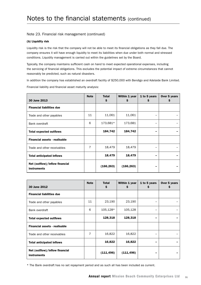#### Note 23. Financial risk management (continued)

#### (b) Liquidity risk

Liquidity risk is the risk that the company will not be able to meet its financial obligations as they fall due. The company ensures it will have enough liquidity to meet its liabilities when due under both normal and stressed conditions. Liquidity management is carried out within the guidelines set by the Board.

Typically, the company maintains sufficient cash on hand to meet expected operational expenses, including the servicing of financial obligations. This excludes the potential impact of extreme circumstances that cannot reasonably be predicted, such as natural disasters.

In addition the company has established an overdraft facility of \$250,000 with Bendigo and Adelaide Bank Limited. Financial liability and financial asset maturity analysis:

| 30 June 2013                                  | <b>Note</b> | <b>Total</b><br>\$ | Within 1 year<br>s | 1 to 5 years<br>S | Over 5 years<br>S |
|-----------------------------------------------|-------------|--------------------|--------------------|-------------------|-------------------|
| <b>Financial liabilities due</b>              |             |                    |                    |                   |                   |
| Trade and other payables                      | 11          | 11,061             | 11,061             |                   |                   |
| Bank overdraft                                | 6           | 173,681*           | 173,681            |                   |                   |
| <b>Total expected outflows</b>                |             | 184,742            | 184,742            |                   |                   |
| <b>Financial assets - realisable</b>          |             |                    |                    |                   |                   |
| Trade and other receivables                   | 7           | 18,479             | 18,479             |                   |                   |
| <b>Total anticipated inflows</b>              |             | 18,479             | 18,479             |                   |                   |
| Net (outflow)/inflow financial<br>instruments |             | (166, 263)         | (166, 263)         |                   |                   |

| 30 June 2012                                         | <b>Note</b> | <b>Total</b><br>S | Within 1 year<br>s | 1 to 5 years<br>s | Over 5 years<br>Ş |
|------------------------------------------------------|-------------|-------------------|--------------------|-------------------|-------------------|
| <b>Financial liabilities due</b>                     |             |                   |                    |                   |                   |
| Trade and other payables                             | 11          | 23,190            | 23,190             |                   |                   |
| Bank overdraft                                       | 6           | 105,128*          | 105,128            |                   |                   |
| <b>Total expected outflows</b>                       |             | 128,318           | 128,318            |                   |                   |
| <b>Financial assets - realisable</b>                 |             |                   |                    |                   |                   |
| Trade and other receivables                          | 7           | 16,822            | 16,822             |                   |                   |
| <b>Total anticipated inflows</b>                     |             | 16,822            | 16,822             |                   |                   |
| Net (outflow)/inflow financial<br><b>instruments</b> |             | (111, 496)        | (111, 496)         |                   |                   |

\* The Bank overdraft has no set repayment period and as such all has been included as current.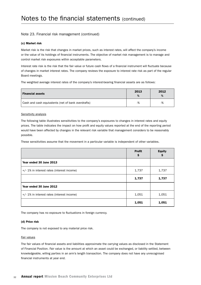#### Note 23. Financial risk management (continued)

#### (c) Market risk

Market risk is the risk that changes in market prices, such as interest rates, will affect the company's income or the value of its holdings of financial instruments. The objective of market risk management is to manage and control market risk exposures within acceptable parameters.

Interest rate risk is the risk that the fair value or future cash flows of a financial instrument will fluctuate because of changes in market interest rates. The company reviews the exposure to interest rate risk as part of the regular Board meetings.

The weighted average interest rates of the company's interest-bearing financial assets are as follows:

| <b>Financial assets</b>                            | 2013<br>% | 2012<br>% |
|----------------------------------------------------|-----------|-----------|
| Cash and cash equivalents (net of bank overdrafts) | -%        | $-$ %     |

#### Sensitivity analysis

The following table illustrates sensitivities to the company's exposures to changes in interest rates and equity prices. The table indicates the impact on how profit and equity values reported at the end of the reporting period would have been affected by changes in the relevant risk variable that management considers to be reasonably possible.

These sensitivities assume that the movement in a particular variable is independent of other variables.

|                                            | <b>Profit</b><br>\$ | <b>Equity</b><br>\$ |
|--------------------------------------------|---------------------|---------------------|
| Year ended 30 June 2013                    |                     |                     |
| +/- 1% in interest rates (interest income) | 1,737               | 1,737               |
|                                            | 1,737               | 1,737               |
| Year ended 30 June 2012                    |                     |                     |
| +/- 1% in interest rates (interest income) | 1,051               | 1,051               |
|                                            | 1,051               | 1,051               |

The company has no exposure to fluctuations in foreign currency.

#### (d) Price risk

The company is not exposed to any material price risk.

#### Fair values

The fair values of financial assets and liabilities approximate the carrying values as disclosed in the Statement of Financial Position. Fair value is the amount at which an asset could be exchanged, or liability settled, between knowledgeable, willing parties in an arm's length transaction. The company does not have any unrecognised financial instruments at year end.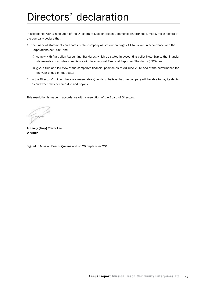# Directors' declaration

In accordance with a resolution of the Directors of Mission Beach Community Enterprises Limited, the Directors of the company declare that:

- 1 the financial statements and notes of the company as set out on pages 11 to 32 are in accordance with the Corporations Act 2001 and:
	- (i) comply with Australian Accounting Standards, which as stated in accounting policy Note 1(a) to the financial statements constitutes compliance with International Financial Reporting Standards (IFRS); and
	- (ii) give a true and fair view of the company's financial position as at 30 June 2013 and of the performance for the year ended on that date;
- 2 in the Directors' opinion there are reasonable grounds to believe that the company will be able to pay its debts as and when they become due and payable.

This resolution is made in accordance with a resolution of the Board of Directors.

Anthony (Tony) Trevor Lee Director

Signed in Mission Beach, Queensland on 20 September 2013.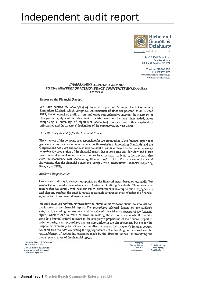# Independent audit report



Level 2, 10-16 Furest Street Bendigo, Victoria PO Box 30, Bendigo, VIC 3552

Telephone: (03) 5445 4200 Fax: (03) 5444 4344 Email: red@rsdadvisors.com.au www.rsdadvisora.com.au

#### **INDEPENDENT AUDITOR'S REPORT** TO THE MEMBERS OF MISSION BEACH COMMUNITY ENTERPRISES **LIMITED**

#### **Report on the Financial Report**

We have audited the accompanying financial report of Mission Beach Community Enterprises Limited, which comprises the statement of financial position as at 30 June 2013, the statement of profit or loss and other comprehensive income, the statement of changes in equity and the statement of cash flows for the year then ended, notes comprising a summary of significant accounting policies and other explanatory information and the directors' declaration of the company at the year's end.

#### Directors' Responsibility for the Financial Report

The directors of the company are responsible for the preparation of the financial report that gives a true and fair view in accordance with Australian Accounting Standards and the Corporations Act 2001 and for such internal control as the directors determine is necessary to enable the preparation of the financial report that gives a true and fair view and is free from material misstatement, whether due to fraud or error. In Note 1, the directors also state, in accordance with Accounting Standard AASB 101: Presentation of Financial Statements, that the financial statements comply with International Financial Reporting Standards (IFRS).

#### Auditor's Responsibility

Our responsibility is to express an opinion on the financial report based on our audit. We conducted our audit in accordance with Australian Auditing Standards. Those standards require that we comply with relevant ethical requirements relating to audit engagements and plan and perform the audit to obtain reasonable assurance about whether the financial report is free from material misstatement.

An audit involves performing procedures to obtain audit evidence about the amounts and disclosures in the financial report. The procedures selected depend on the auditor's judgement, including the assessment of the risks of material misstatement of the financial report, whether due to fraud or error. In making those risk assessments, the auditor considers internal control relevant to the company's preparation of the financial report in order to design audit procedures that are appropriate in the circumstances, but not for the purpose of expressing an opinion on the effectiveness of the company's internal control. An audit also includes evaluating the appropriateness of accounting policies used and the reasonableness of accounting estimates made by the directors, as well as evaluating the overall presentation of the financial report.

Richmond Sinnott & Delahunty<br>ABN 60 616 244 309 Liability limited by a schem approved under Professional Standards Legislation

Partners: Warren Sinnott Philip Delahenty Cara Hall Kathic Teasdale Brett Andrews David Richmund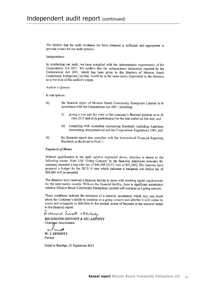We believe that the audit evidence we have obtained is sufficient and appropriate to provide a basis for our audit opinion.

#### Independence

In conducting our audit, we have complied with the independence requirements of the Corporations Act 2001. We confirm that the independence declaration required by the Corporations Act 2001, which has been given to the directors of Mission Beach Community Enterprises Limited, would be in the same terms if provided to the directors as at the time of this auditor's report.

#### Auditor's Opinion

In our opinion:

- $(a)$ the financial report of Mission Beach Community Enterprises Limited is in accordance with the Corporations Act 2001, including:
	- giving a true and fair view of the company's financial position as at 30  $(i)$ June 2013 and of its performance for the year ended on that date; and
	- $(ii)$ complying with Australian Accounting Standards (including Australian Accounting Interpretations) and the Corporations Regulations 2001; and
- the financial report also complies with the International Financial Reporting  $(b)$ Standards as disclosed in Note 1

#### **Emphasis of Matter**

Without qualification to the audit opinion expressed above, attention is drawn to the following matter. Note 1(b) "Going Concern' in the financial statements indicates the company recorded a loss after tax of \$44,589 (2012: loss of \$41,186). The directors have prepared a budget for the 2013/14 year which indicates a budgeted loss before tax of \$86,080 will be recorded.

The directors have received a financial facility to assist with working capital requirements for the next twelve months. Without the financial facility, there is significant uncertainty whether Mission Beach Community Enterprises Limited will continue as a going concern.

These conditions indicate the existence of a material uncertainty which may cast doubt about the Company's ability to continue as a going concern and whether it will realise its assets and extinguish its liabilities in the normal course of business at the amounts stated in the financial report.

Kichnund Sinrath + Delchuk

RICHMOND SINNOTT & DELAHUNTY Chartered Accountants

watt

W. J. SINNOTT Partner

Dated at Bendigo, 20 September 2013